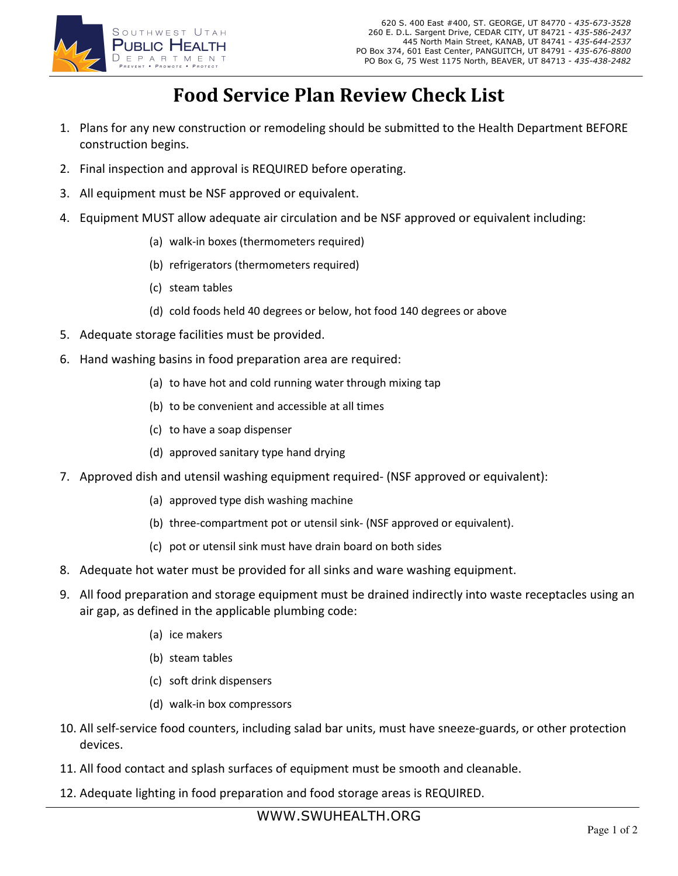

## Food Service Plan Review Check List

- 1. Plans for any new construction or remodeling should be submitted to the Health Department BEFORE construction begins.
- 2. Final inspection and approval is REQUIRED before operating.
- 3. All equipment must be NSF approved or equivalent.
- 4. Equipment MUST allow adequate air circulation and be NSF approved or equivalent including:
	- (a) walk-in boxes (thermometers required)
	- (b) refrigerators (thermometers required)
	- (c) steam tables
	- (d) cold foods held 40 degrees or below, hot food 140 degrees or above
- 5. Adequate storage facilities must be provided.
- 6. Hand washing basins in food preparation area are required:
	- (a) to have hot and cold running water through mixing tap
	- (b) to be convenient and accessible at all times
	- (c) to have a soap dispenser
	- (d) approved sanitary type hand drying
- 7. Approved dish and utensil washing equipment required- (NSF approved or equivalent):
	- (a) approved type dish washing machine
	- (b) three-compartment pot or utensil sink- (NSF approved or equivalent).
	- (c) pot or utensil sink must have drain board on both sides
- 8. Adequate hot water must be provided for all sinks and ware washing equipment.
- 9. All food preparation and storage equipment must be drained indirectly into waste receptacles using an air gap, as defined in the applicable plumbing code:
	- (a) ice makers
	- (b) steam tables
	- (c) soft drink dispensers
	- (d) walk-in box compressors
- 10. All self-service food counters, including salad bar units, must have sneeze-guards, or other protection devices.
- 11. All food contact and splash surfaces of equipment must be smooth and cleanable.
- 12. Adequate lighting in food preparation and food storage areas is REQUIRED.